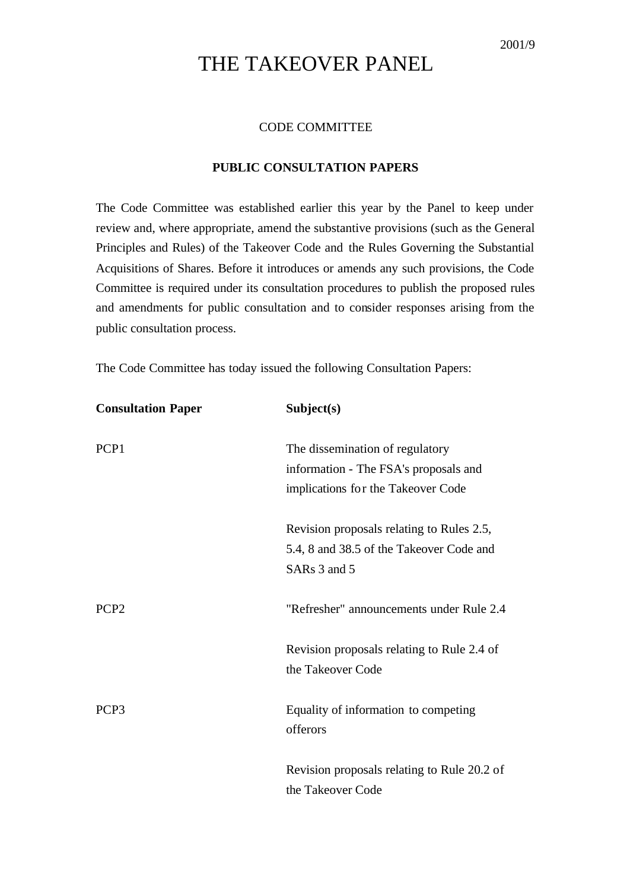## THE TAKEOVER PANEL

## CODE COMMITTEE

## **PUBLIC CONSULTATION PAPERS**

The Code Committee was established earlier this year by the Panel to keep under review and, where appropriate, amend the substantive provisions (such as the General Principles and Rules) of the Takeover Code and the Rules Governing the Substantial Acquisitions of Shares. Before it introduces or amends any such provisions, the Code Committee is required under its consultation procedures to publish the proposed rules and amendments for public consultation and to consider responses arising from the public consultation process.

The Code Committee has today issued the following Consultation Papers:

| <b>Consultation Paper</b> | Subject(s)                                       |
|---------------------------|--------------------------------------------------|
| PCP1                      | The dissemination of regulatory                  |
|                           | information - The FSA's proposals and            |
|                           | implications for the Takeover Code               |
|                           | Revision proposals relating to Rules 2.5,        |
|                           | 5.4, 8 and 38.5 of the Takeover Code and         |
|                           | SARs 3 and 5                                     |
| PCP <sub>2</sub>          | "Refresher" announcements under Rule 2.4         |
|                           | Revision proposals relating to Rule 2.4 of       |
|                           | the Takeover Code                                |
| PCP <sub>3</sub>          | Equality of information to competing<br>offerors |
|                           | Revision proposals relating to Rule 20.2 of      |
|                           | the Takeover Code                                |